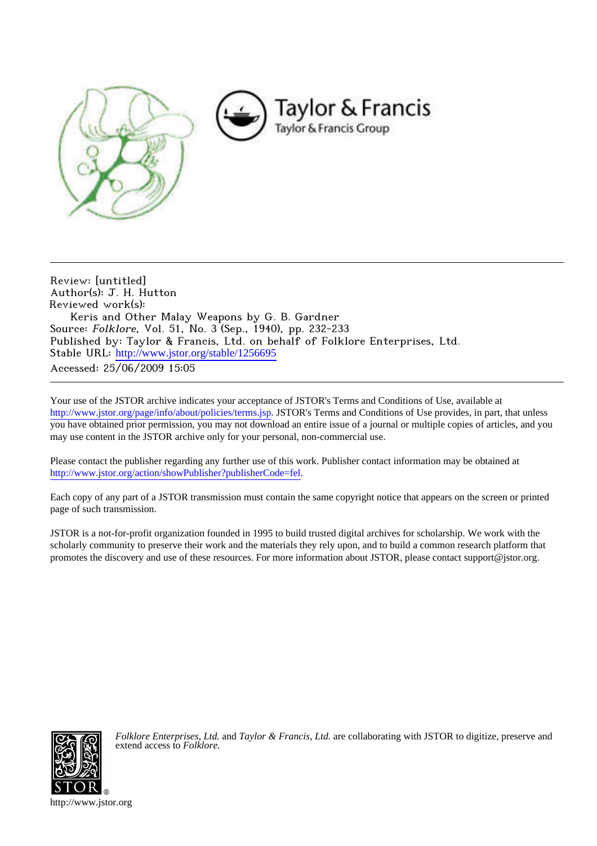

Review: [untitled] Author(s): J. H. Hutton Reviewed work(s): Keris and Other Malay Weapons by G. B. Gardner Source: Folklore, Vol. 51, No. 3 (Sep., 1940), pp. 232-233 Published by: Taylor & Francis, Ltd. on behalf of Folklore Enterprises, Ltd. Stable URL: [http://www.jstor.org/stable/1256695](http://www.jstor.org/stable/1256695?origin=JSTOR-pdf) Accessed: 25/06/2009 15:05

Your use of the JSTOR archive indicates your acceptance of JSTOR's Terms and Conditions of Use, available at <http://www.jstor.org/page/info/about/policies/terms.jsp>. JSTOR's Terms and Conditions of Use provides, in part, that unless you have obtained prior permission, you may not download an entire issue of a journal or multiple copies of articles, and you may use content in the JSTOR archive only for your personal, non-commercial use.

Please contact the publisher regarding any further use of this work. Publisher contact information may be obtained at [http://www.jstor.org/action/showPublisher?publisherCode=fel.](http://www.jstor.org/action/showPublisher?publisherCode=fel)

Each copy of any part of a JSTOR transmission must contain the same copyright notice that appears on the screen or printed page of such transmission.

JSTOR is a not-for-profit organization founded in 1995 to build trusted digital archives for scholarship. We work with the scholarly community to preserve their work and the materials they rely upon, and to build a common research platform that promotes the discovery and use of these resources. For more information about JSTOR, please contact support@jstor.org.



*Folklore Enterprises, Ltd.* and *Taylor & Francis, Ltd.* are collaborating with JSTOR to digitize, preserve and extend access to *Folklore.*

http://www.jstor.org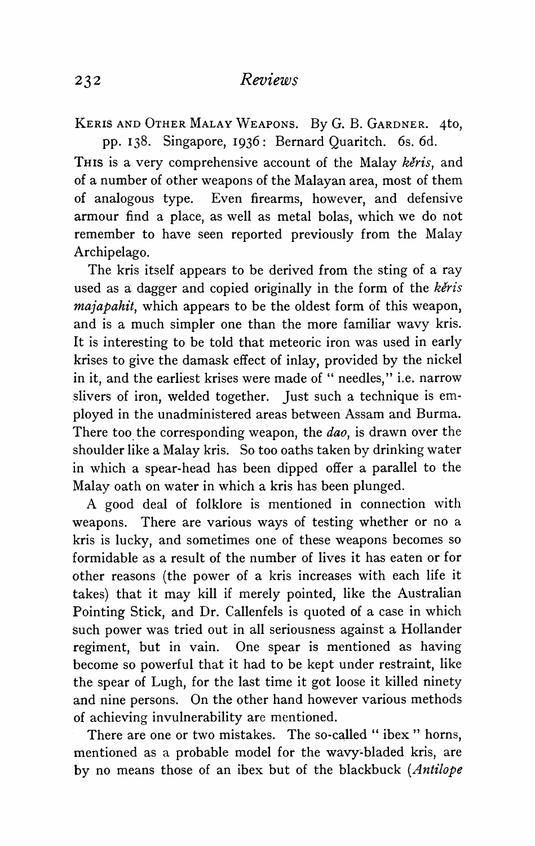**KERIS AND OTHER MALAY WEAPONS. By G. B. GARDNER. 4to, pp. 138. Singapore, I936: Bernard Quaritch. 6s. 6d.** 

THIS is a very comprehensive account of the Malay keris, and **of a number of other weapons of the Malayan area, most of them of analogous type. Even firearms, however, and defensive armour find a place, as well as metal bolas, which we do not remember to have seen reported previously from the Malay Archipelago.** 

**The kris itself appears to be derived from the sting of a ray**  used as a dagger and copied originally in the form of the keris **majapahit, which appears to be the oldest form of this weapon, and is a much simpler one than the more familiar wavy kris. It is interesting to be told that meteoric iron was used in early krises to give the damask effect of inlay, provided by the nickel in it, and the earliest krises were made of " needles," i.e. narrow slivers of iron, welded together. Just such a technique is employed in the unadministered areas between Assam and Burma. There too the corresponding weapon, the dao, is drawn over the shoulder like a Malay kris. So too oaths taken by drinking water in which a spear-head has been dipped offer a parallel to the Malay oath on water in which a kris has been plunged.** 

**A good deal of folklore is mentioned in connection with weapons. There are various ways of testing whether or no a kris is lucky, and sometimes one of these weapons becomes so formidable as a result of the number of lives it has eaten or for other reasons (the power of a kris increases with each life it takes) that it may kill if merely pointed, like the Australian Pointing Stick, and Dr. Callenfels is quoted of a case in which such power was tried out in all seriousness against a Hollander regiment, but in vain. One spear is mentioned as having become so powerful that it had to be kept under restraint, like the spear of Lugh, for the last time it got loose it killed ninety and nine persons. On the other hand however various methods of achieving invulnerability are mentioned.** 

**There are one or two mistakes. The so-called " ibex " horns, mentioned as a probable model for the wavy-bladed kris, are by no means those of an ibex but of the blackbuck (Antilope**